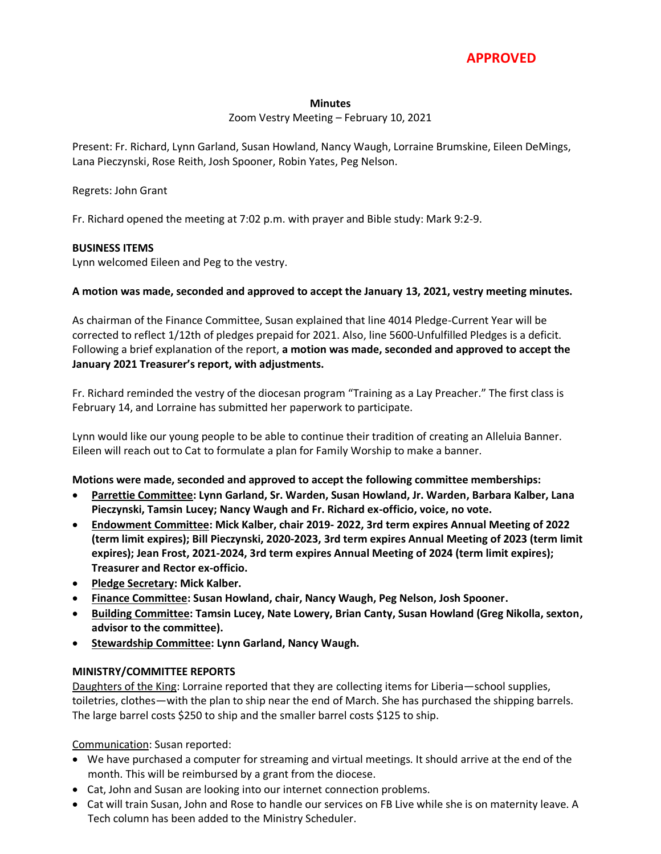

#### **Minutes**

#### Zoom Vestry Meeting – February 10, 2021

Present: Fr. Richard, Lynn Garland, Susan Howland, Nancy Waugh, Lorraine Brumskine, Eileen DeMings, Lana Pieczynski, Rose Reith, Josh Spooner, Robin Yates, Peg Nelson.

## Regrets: John Grant

Fr. Richard opened the meeting at 7:02 p.m. with prayer and Bible study: Mark 9:2-9.

## **BUSINESS ITEMS**

Lynn welcomed Eileen and Peg to the vestry.

## **A motion was made, seconded and approved to accept the January 13, 2021, vestry meeting minutes.**

As chairman of the Finance Committee, Susan explained that line 4014 Pledge-Current Year will be corrected to reflect 1/12th of pledges prepaid for 2021. Also, line 5600-Unfulfilled Pledges is a deficit. Following a brief explanation of the report, **a motion was made, seconded and approved to accept the January 2021 Treasurer's report, with adjustments.**

Fr. Richard reminded the vestry of the diocesan program "Training as a Lay Preacher." The first class is February 14, and Lorraine has submitted her paperwork to participate.

Lynn would like our young people to be able to continue their tradition of creating an Alleluia Banner. Eileen will reach out to Cat to formulate a plan for Family Worship to make a banner.

#### **Motions were made, seconded and approved to accept the following committee memberships:**

- **Parrettie Committee: Lynn Garland, Sr. Warden, Susan Howland, Jr. Warden, Barbara Kalber, Lana Pieczynski, Tamsin Lucey; Nancy Waugh and Fr. Richard ex-officio, voice, no vote.**
- **Endowment Committee: Mick Kalber, chair 2019- 2022, 3rd term expires Annual Meeting of 2022 (term limit expires); Bill Pieczynski, 2020-2023, 3rd term expires Annual Meeting of 2023 (term limit expires); Jean Frost, 2021-2024, 3rd term expires Annual Meeting of 2024 (term limit expires); Treasurer and Rector ex-officio.**
- **Pledge Secretary: Mick Kalber.**
- **Finance Committee: Susan Howland, chair, Nancy Waugh, Peg Nelson, Josh Spooner.**
- **Building Committee: Tamsin Lucey, Nate Lowery, Brian Canty, Susan Howland (Greg Nikolla, sexton, advisor to the committee).**
- **Stewardship Committee: Lynn Garland, Nancy Waugh.**

# **MINISTRY/COMMITTEE REPORTS**

Daughters of the King: Lorraine reported that they are collecting items for Liberia—school supplies, toiletries, clothes—with the plan to ship near the end of March. She has purchased the shipping barrels. The large barrel costs \$250 to ship and the smaller barrel costs \$125 to ship.

Communication: Susan reported:

- We have purchased a computer for streaming and virtual meetings. It should arrive at the end of the month. This will be reimbursed by a grant from the diocese.
- Cat, John and Susan are looking into our internet connection problems.
- Cat will train Susan, John and Rose to handle our services on FB Live while she is on maternity leave. A Tech column has been added to the Ministry Scheduler.